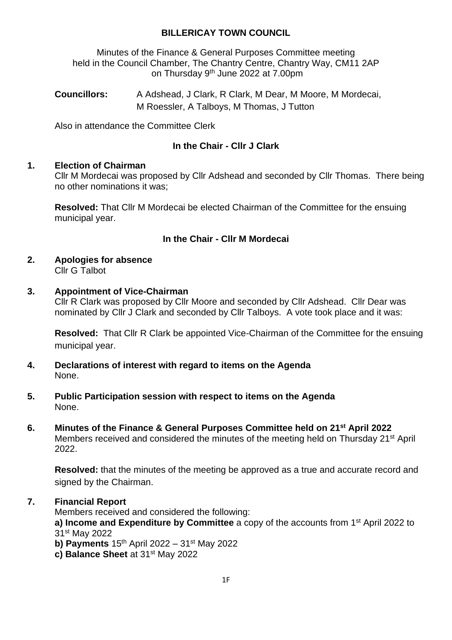## **BILLERICAY TOWN COUNCIL**

Minutes of the Finance & General Purposes Committee meeting held in the Council Chamber, The Chantry Centre, Chantry Way, CM11 2AP on Thursday 9<sup>th</sup> June 2022 at 7.00pm

**Councillors:** A Adshead, J Clark, R Clark, M Dear, M Moore, M Mordecai, M Roessler, A Talboys, M Thomas, J Tutton

Also in attendance the Committee Clerk

# **In the Chair - Cllr J Clark**

#### **1. Election of Chairman**

Cllr M Mordecai was proposed by Cllr Adshead and seconded by Cllr Thomas. There being no other nominations it was;

**Resolved:** That Cllr M Mordecai be elected Chairman of the Committee for the ensuing municipal year.

## **In the Chair - Cllr M Mordecai**

**2. Apologies for absence** Cllr G Talbot

### **3. Appointment of Vice-Chairman**

Cllr R Clark was proposed by Cllr Moore and seconded by Cllr Adshead. Cllr Dear was nominated by Cllr J Clark and seconded by Cllr Talboys. A vote took place and it was:

**Resolved:** That Cllr R Clark be appointed Vice-Chairman of the Committee for the ensuing municipal year.

- **4. Declarations of interest with regard to items on the Agenda** None.
- **5. Public Participation session with respect to items on the Agenda** None.
- **6. Minutes of the Finance & General Purposes Committee held on 21st April 2022** Members received and considered the minutes of the meeting held on Thursday 21<sup>st</sup> April 2022.

**Resolved:** that the minutes of the meeting be approved as a true and accurate record and signed by the Chairman.

## **7. Financial Report**

Members received and considered the following:

**a) Income and Expenditure by Committee** a copy of the accounts from 1st April 2022 to 31st May 2022

- **b) Payments** 15<sup>th</sup> April 2022 31<sup>st</sup> May 2022
- **c) Balance Sheet** at 31st May 2022